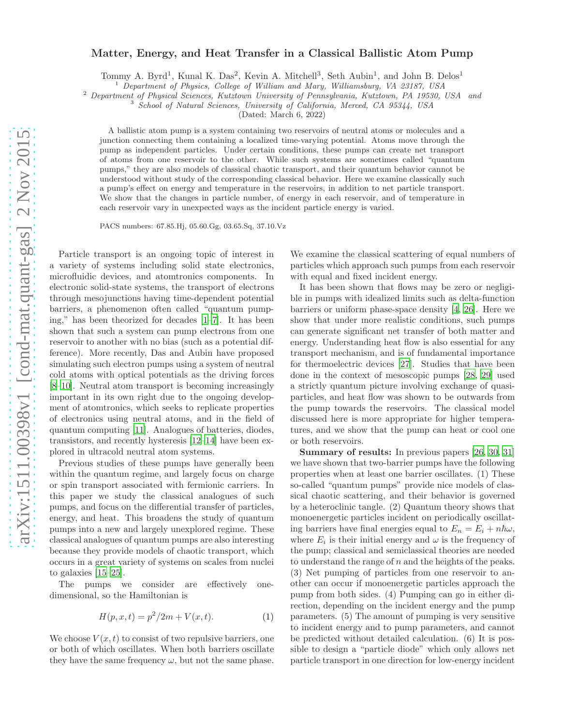## Matter, Energy, and Heat Transfer in a Classical Ballistic Atom Pump

Tommy A. Byrd<sup>1</sup>, Kunal K. Das<sup>2</sup>, Kevin A. Mitchell<sup>3</sup>, Seth Aubin<sup>1</sup>, and John B. Delos<sup>1</sup>

<sup>1</sup> Department of Physics, College of William and Mary, Williamsburg, VA 23187, USA

<sup>2</sup> Department of Physical Sciences, Kutztown University of Pennsylvania, Kutztown, PA 19530, USA and

<sup>3</sup> School of Natural Sciences, University of California, Merced, CA 95344, USA

(Dated: March 6, 2022)

A ballistic atom pump is a system containing two reservoirs of neutral atoms or molecules and a junction connecting them containing a localized time-varying potential. Atoms move through the pump as independent particles. Under certain conditions, these pumps can create net transport of atoms from one reservoir to the other. While such systems are sometimes called "quantum pumps," they are also models of classical chaotic transport, and their quantum behavior cannot be understood without study of the corresponding classical behavior. Here we examine classically such a pump's effect on energy and temperature in the reservoirs, in addition to net particle transport. We show that the changes in particle number, of energy in each reservoir, and of temperature in each reservoir vary in unexpected ways as the incident particle energy is varied.

PACS numbers: 67.85.Hj, 05.60.Gg, 03.65.Sq, 37.10.Vz

Particle transport is an ongoing topic of interest in a variety of systems including solid state electronics, microfluidic devices, and atomtronics components. In electronic solid-state systems, the transport of electrons through mesojunctions having time-dependent potential barriers, a phenomenon often called "quantum pumping," has been theorized for decades [\[1](#page-3-0)[–7\]](#page-4-0). It has been shown that such a system can pump electrons from one reservoir to another with no bias (such as a potential difference). More recently, Das and Aubin have proposed simulating such electron pumps using a system of neutral cold atoms with optical potentials as the driving forces [\[8](#page-4-1)[–10\]](#page-4-2). Neutral atom transport is becoming increasingly important in its own right due to the ongoing development of atomtronics, which seeks to replicate properties of electronics using neutral atoms, and in the field of quantum computing [\[11](#page-4-3)]. Analogues of batteries, diodes, transistors, and recently hysteresis [\[12](#page-4-4)[–14](#page-4-5)] have been explored in ultracold neutral atom systems.

Previous studies of these pumps have generally been within the quantum regime, and largely focus on charge or spin transport associated with fermionic carriers. In this paper we study the classical analogues of such pumps, and focus on the differential transfer of particles, energy, and heat. This broadens the study of quantum pumps into a new and largely unexplored regime. These classical analogues of quantum pumps are also interesting because they provide models of chaotic transport, which occurs in a great variety of systems on scales from nuclei to galaxies [\[15](#page-4-6)[–25](#page-4-7)].

The pumps we consider are effectively onedimensional, so the Hamiltonian is

$$
H(p, x, t) = p^2/2m + V(x, t).
$$
 (1)

We choose  $V(x,t)$  to consist of two repulsive barriers, one or both of which oscillates. When both barriers oscillate they have the same frequency  $\omega$ , but not the same phase. We examine the classical scattering of equal numbers of particles which approach such pumps from each reservoir with equal and fixed incident energy.

It has been shown that flows may be zero or negligible in pumps with idealized limits such as delta-function barriers or uniform phase-space density [\[4,](#page-4-8) [26\]](#page-4-9). Here we show that under more realistic conditions, such pumps can generate significant net transfer of both matter and energy. Understanding heat flow is also essential for any transport mechanism, and is of fundamental importance for thermoelectric devices [\[27](#page-4-10)]. Studies that have been done in the context of mesoscopic pumps [\[28,](#page-4-11) [29\]](#page-4-12) used a strictly quantum picture involving exchange of quasiparticles, and heat flow was shown to be outwards from the pump towards the reservoirs. The classical model discussed here is more appropriate for higher temperatures, and we show that the pump can heat or cool one or both reservoirs.

Summary of results: In previous papers [\[26,](#page-4-9) [30,](#page-4-13) [31](#page-4-14)] we have shown that two-barrier pumps have the following properties when at least one barrier oscillates. (1) These so-called "quantum pumps" provide nice models of classical chaotic scattering, and their behavior is governed by a heteroclinic tangle. (2) Quantum theory shows that monoenergetic particles incident on periodically oscillating barriers have final energies equal to  $E_n = E_i + n\hbar\omega$ , where  $E_i$  is their initial energy and  $\omega$  is the frequency of the pump; classical and semiclassical theories are needed to understand the range of  $n$  and the heights of the peaks. (3) Net pumping of particles from one reservoir to another can occur if monoenergetic particles approach the pump from both sides. (4) Pumping can go in either direction, depending on the incident energy and the pump parameters. (5) The amount of pumping is very sensitive to incident energy and to pump parameters, and cannot be predicted without detailed calculation. (6) It is possible to design a "particle diode" which only allows net particle transport in one direction for low-energy incident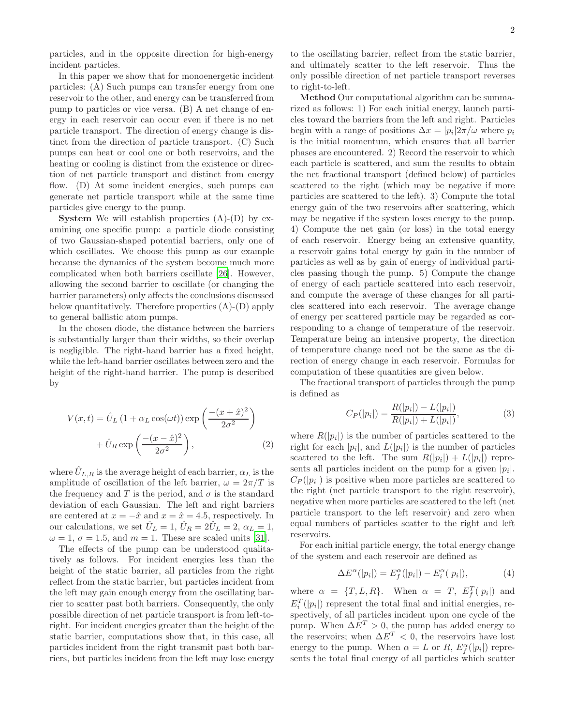particles, and in the opposite direction for high-energy incident particles.

In this paper we show that for monoenergetic incident particles: (A) Such pumps can transfer energy from one reservoir to the other, and energy can be transferred from pump to particles or vice versa. (B) A net change of energy in each reservoir can occur even if there is no net particle transport. The direction of energy change is distinct from the direction of particle transport. (C) Such pumps can heat or cool one or both reservoirs, and the heating or cooling is distinct from the existence or direction of net particle transport and distinct from energy flow. (D) At some incident energies, such pumps can generate net particle transport while at the same time particles give energy to the pump.

**System** We will establish properties  $(A)$ - $(D)$  by examining one specific pump: a particle diode consisting of two Gaussian-shaped potential barriers, only one of which oscillates. We choose this pump as our example because the dynamics of the system become much more complicated when both barriers oscillate [\[26\]](#page-4-9). However, allowing the second barrier to oscillate (or changing the barrier parameters) only affects the conclusions discussed below quantitatively. Therefore properties (A)-(D) apply to general ballistic atom pumps.

In the chosen diode, the distance between the barriers is substantially larger than their widths, so their overlap is negligible. The right-hand barrier has a fixed height, while the left-hand barrier oscillates between zero and the height of the right-hand barrier. The pump is described by

$$
V(x,t) = \hat{U}_L (1 + \alpha_L \cos(\omega t)) \exp\left(\frac{-(x+\hat{x})^2}{2\sigma^2}\right)
$$

$$
+ \hat{U}_R \exp\left(\frac{-(x-\hat{x})^2}{2\sigma^2}\right), \tag{2}
$$

where  $U_{L,R}$  is the average height of each barrier,  $\alpha_L$  is the amplitude of oscillation of the left barrier,  $\omega = 2\pi/T$  is the frequency and T is the period, and  $\sigma$  is the standard deviation of each Gaussian. The left and right barriers are centered at  $x = -\hat{x}$  and  $x = \hat{x} = 4.5$ , respectively. In our calculations, we set  $U_L = 1$ ,  $U_R = 2U_L = 2$ ,  $\alpha_L = 1$ ,  $\omega = 1, \sigma = 1.5, \text{ and } m = 1.$  These are scaled units [\[31](#page-4-14)].

The effects of the pump can be understood qualitatively as follows. For incident energies less than the height of the static barrier, all particles from the right reflect from the static barrier, but particles incident from the left may gain enough energy from the oscillating barrier to scatter past both barriers. Consequently, the only possible direction of net particle transport is from left-toright. For incident energies greater than the height of the static barrier, computations show that, in this case, all particles incident from the right transmit past both barriers, but particles incident from the left may lose energy

to the oscillating barrier, reflect from the static barrier, and ultimately scatter to the left reservoir. Thus the only possible direction of net particle transport reverses to right-to-left.

Method Our computational algorithm can be summarized as follows: 1) For each initial energy, launch particles toward the barriers from the left and right. Particles begin with a range of positions  $\Delta x = |p_i| 2\pi/\omega$  where  $p_i$ is the initial momentum, which ensures that all barrier phases are encountered. 2) Record the reservoir to which each particle is scattered, and sum the results to obtain the net fractional transport (defined below) of particles scattered to the right (which may be negative if more particles are scattered to the left). 3) Compute the total energy gain of the two reservoirs after scattering, which may be negative if the system loses energy to the pump. 4) Compute the net gain (or loss) in the total energy of each reservoir. Energy being an extensive quantity, a reservoir gains total energy by gain in the number of particles as well as by gain of energy of individual particles passing though the pump. 5) Compute the change of energy of each particle scattered into each reservoir, and compute the average of these changes for all particles scattered into each reservoir. The average change of energy per scattered particle may be regarded as corresponding to a change of temperature of the reservoir. Temperature being an intensive property, the direction of temperature change need not be the same as the direction of energy change in each reservoir. Formulas for computation of these quantities are given below.

The fractional transport of particles through the pump is defined as

$$
C_P(|p_i|) = \frac{R(|p_i|) - L(|p_i|)}{R(|p_i|) + L(|p_i|)},
$$
\n(3)

where  $R(|p_i|)$  is the number of particles scattered to the right for each  $|p_i|$ , and  $L(|p_i|)$  is the number of particles scattered to the left. The sum  $R(|p_i|) + L(|p_i|)$  represents all particles incident on the pump for a given  $|p_i|$ .  $C_P(|p_i|)$  is positive when more particles are scattered to the right (net particle transport to the right reservoir), negative when more particles are scattered to the left (net particle transport to the left reservoir) and zero when equal numbers of particles scatter to the right and left reservoirs.

For each initial particle energy, the total energy change of the system and each reservoir are defined as

$$
\Delta E^{\alpha}(|p_i|) = E_f^{\alpha}(|p_i|) - E_i^{\alpha}(|p_i|), \tag{4}
$$

where  $\alpha = \{T, L, R\}$ . When  $\alpha = T$ ,  $E_f^T(|p_i|)$  and  $E_i^T(|p_i|)$  represent the total final and initial energies, respectively, of all particles incident upon one cycle of the pump. When  $\Delta E^T > 0$ , the pump has added energy to the reservoirs; when  $\Delta E^{T} < 0$ , the reservoirs have lost energy to the pump. When  $\alpha = L$  or R,  $E_f^{\alpha}(|p_i|)$  represents the total final energy of all particles which scatter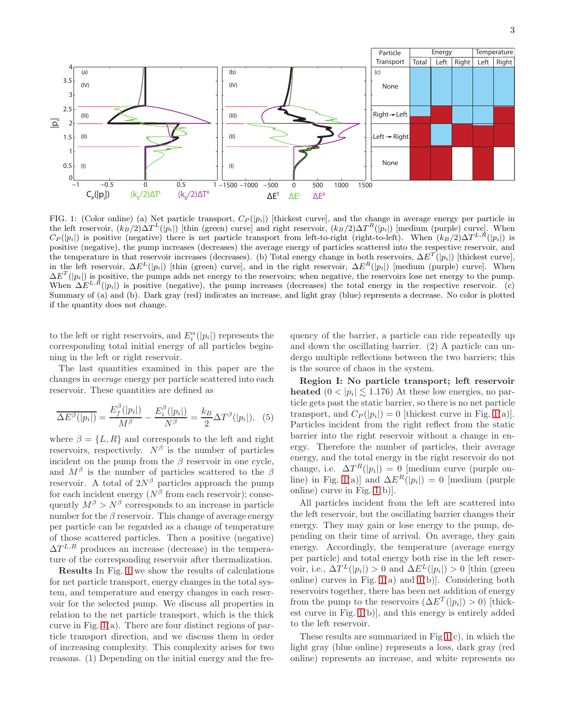

<span id="page-2-0"></span>FIG. 1: (Color online) (a) Net particle transport,  $C_P(|p_i|)$  [thickest curve], and the change in average energy per particle in the left reservoir,  $(k_B/2)\Delta T^{L}(|p_i|)$  [thin (green) curve] and right reservoir,  $(k_B/2)\Delta T^{R}(|p_i|)$  [medium (purple) curve]. When  $C_P(|p_i|)$  is positive (negative) there is net particle transport from left-to-right (right-to-left). When  $(k_B/2)\Delta T^{L,R}(|p_i|)$  is positive (negative), the pump increases (decreases) the average energy of particles scattered into the respective reservoir, and the temperature in that reservoir increases (decreases). (b) Total energy change in both reservoirs,  $\Delta E^{T}(|p_i|)$  [thickest curve], in the left reservoir,  $\Delta E^{L}(|p_{i}|)$  [thin (green) curve], and in the right reservoir,  $\Delta E^{R}(|p_{i}|)$  [medium (purple) curve]. When  $\Delta E^{T}(|p_{i}|)$  is positive, the pumps adds net energy to the reservoirs; when negative, the reservoirs lose net energy to the pump. When  $\Delta E^{L,R}(|p_i|)$  is positive (negative), the pump increases (decreases) the total energy in the respective reservoir. (c) Summary of (a) and (b). Dark gray (red) indicates an increase, and light gray (blue) represents a decrease. No color is plotted if the quantity does not change.

to the left or right reservoirs, and  $E_i^{\alpha}(|p_i|)$  represents the corresponding total initial energy of all particles beginning in the left or right reservoir.

The last quantities examined in this paper are the changes in average energy per particle scattered into each reservoir. These quantities are defined as

$$
\overline{\Delta E^{\beta}(|p_i|)} = \frac{E_f^{\beta}(|p_i|)}{M^{\beta}} - \frac{E_i^{\beta}(|p_i|)}{N^{\beta}} = \frac{k_B}{2} \Delta T^{\beta}(|p_i|), \quad (5)
$$

where  $\beta = \{L, R\}$  and corresponds to the left and right reservoirs, respectively.  $N^{\beta}$  is the number of particles incident on the pump from the  $\beta$  reservoir in one cycle, and  $M^{\beta}$  is the number of particles scattered to the  $\beta$ reservoir. A total of  $2N^{\beta}$  particles approach the pump for each incident energy  $(N^{\beta}$  from each reservoir); consequently  $M^{\beta} > N^{\beta}$  corresponds to an increase in particle number for the  $\beta$  reservoir. This change of average energy per particle can be regarded as a change of temperature of those scattered particles. Then a positive (negative)  $\Delta T^{L,R}$  produces an increase (decrease) in the temperature of the corresponding reservoir after thermalization.

Results In Fig. [1](#page-2-0) we show the results of calculations for net particle transport, energy changes in the total system, and temperature and energy changes in each reservoir for the selected pump. We discuss all properties in relation to the net particle transport, which is the thick curve in Fig. [1\(](#page-2-0)a). There are four distinct regions of particle transport direction, and we discuss them in order of increasing complexity. This complexity arises for two reasons. (1) Depending on the initial energy and the fre-

quency of the barrier, a particle can ride repeatedly up and down the oscillating barrier. (2) A particle can undergo multiple reflections between the two barriers; this is the source of chaos in the system.

Region I: No particle transport; left reservoir heated  $(0 < |p_i| \lesssim 1.176)$  At these low energies, no particle gets past the static barrier, so there is no net particle transport, and  $C_P(|p_i|) = 0$  [thickest curve in Fig. [1\(](#page-2-0)a)]. Particles incident from the right reflect from the static barrier into the right reservoir without a change in energy. Therefore the number of particles, their average energy, and the total energy in the right reservoir do not change, i.e.  $\Delta T^{R}(|p_{i}|) = 0$  [medium curve (purple on-line) in Fig. [1\(](#page-2-0)a)] and  $\Delta E^{R}(|p_i|) = 0$  [medium (purple online) curve in Fig. [1\(](#page-2-0)b)].

All particles incident from the left are scattered into the left reservoir, but the oscillating barrier changes their energy. They may gain or lose energy to the pump, depending on their time of arrival. On average, they gain energy. Accordingly, the temperature (average energy per particle) and total energy both rise in the left reservoir, i.e.,  $\Delta T^{L}(|p_i|) > 0$  and  $\Delta E^{L}(|p_i|) > 0$  [thin (green online) curves in Fig.  $1(a)$  $1(a)$  and  $1(b)$ ]. Considering both reservoirs together, there has been net addition of energy from the pump to the reservoirs  $(\Delta E^{T}(|p_i|) > 0)$  [thickest curve in Fig. [1\(](#page-2-0)b)], and this energy is entirely added to the left reservoir.

These results are summarized in Fig  $1(c)$  $1(c)$ , in which the light gray (blue online) represents a loss, dark gray (red online) represents an increase, and white represents no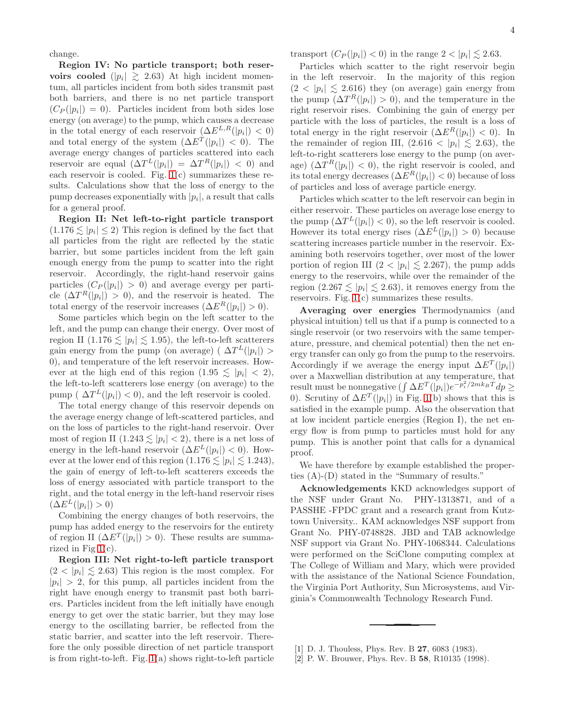change.

Region IV: No particle transport; both reservoirs cooled  $(|p_i| \ge 2.63)$  At high incident momentum, all particles incident from both sides transmit past both barriers, and there is no net particle transport  $(C_P(|p_i|) = 0)$ . Particles incident from both sides lose energy (on average) to the pump, which causes a decrease in the total energy of each reservoir  $(\Delta E^{L,R}(|p_i|) < 0)$ and total energy of the system  $(\Delta E^{T}(|p_i|) < 0)$ . The average energy changes of particles scattered into each reservoir are equal  $(\Delta T^{L}(|p_i|) = \Delta T^{R}(|p_i|) < 0)$  and each reservoir is cooled. Fig.  $1(c)$  $1(c)$  summarizes these results. Calculations show that the loss of energy to the pump decreases exponentially with  $|p_i|$ , a result that calls for a general proof.

Region II: Net left-to-right particle transport  $(1.176 \lesssim |p_i| \leq 2)$  This region is defined by the fact that all particles from the right are reflected by the static barrier, but some particles incident from the left gain enough energy from the pump to scatter into the right reservoir. Accordingly, the right-hand reservoir gains particles  $(C_P(|p_i|) > 0)$  and average evergy per particle  $(\Delta T^{R}(|p_i|) > 0)$ , and the reservoir is heated. The total energy of the reservoir increases  $(\Delta E^{R}(|p_i|) > 0)$ .

Some particles which begin on the left scatter to the left, and the pump can change their energy. Over most of region II (1.176  $\lesssim$   $|p_i| \lesssim$  1.95), the left-to-left scatterers gain energy from the pump (on average) ( $\Delta T^{L}(|p_i|) >$ 0), and temperature of the left reservoir increases. However at the high end of this region  $(1.95 \leq |p_i| < 2)$ , the left-to-left scatterers lose energy (on average) to the pump ( $\Delta T^{L}(|p_{i}|) < 0$ ), and the left reservoir is cooled.

The total energy change of this reservoir depends on the average energy change of left-scattered particles, and on the loss of particles to the right-hand reservoir. Over most of region II  $(1.243 \lesssim |p_i| < 2)$ , there is a net loss of energy in the left-hand reservoir  $(\Delta E^{L}(|p_i|) < 0)$ . However at the lower end of this region  $(1.176 \lesssim |p_i| \lesssim 1.243)$ , the gain of energy of left-to-left scatterers exceeds the loss of energy associated with particle transport to the right, and the total energy in the left-hand reservoir rises  $(\Delta E^{L}(|p_i|) > 0)$ 

Combining the energy changes of both reservoirs, the pump has added energy to the reservoirs for the entirety of region II  $(\Delta E^{T}(|p_i|) > 0)$ . These results are summarized in Fig  $1(c)$  $1(c)$ .

Region III: Net right-to-left particle transport  $(2 < |p_i| \lesssim 2.63)$  This region is the most complex. For  $|p_i| > 2$ , for this pump, all particles incident from the right have enough energy to transmit past both barriers. Particles incident from the left initially have enough energy to get over the static barrier, but they may lose energy to the oscillating barrier, be reflected from the static barrier, and scatter into the left reservoir. Therefore the only possible direction of net particle transport is from right-to-left. Fig. [1\(](#page-2-0)a) shows right-to-left particle transport  $(C_P(|p_i|) < 0)$  in the range  $2 < |p_i| \lesssim 2.63$ .

Particles which scatter to the right reservoir begin in the left reservoir. In the majority of this region  $(2 < |p_i| \leq 2.616)$  they (on average) gain energy from the pump  $(\Delta T^{R}(|p_i|) > 0)$ , and the temperature in the right reservoir rises. Combining the gain of energy per particle with the loss of particles, the result is a loss of total energy in the right reservoir  $(\Delta E^{R}(|p_i|) < 0)$ . In the remainder of region III,  $(2.616 < |p_i| \le 2.63)$ , the left-to-right scatterers lose energy to the pump (on average)  $(\Delta T^{R}(|p_{i}|) < 0)$ , the right reservoir is cooled, and its total energy decreases  $(\Delta E^{R}(|p_i|) < 0)$  because of loss of particles and loss of average particle energy.

Particles which scatter to the left reservoir can begin in either reservoir. These particles on average lose energy to the pump  $(\Delta T^{L}(|p_{i}|) < 0)$ , so the left reservoir is cooled. However its total energy rises  $(\Delta E^{L}(|p_i|) > 0)$  because scattering increases particle number in the reservoir. Examining both reservoirs together, over most of the lower portion of region III  $(2 < |p_i| \leq 2.267)$ , the pump adds energy to the reservoirs, while over the remainder of the region  $(2.267 \lesssim |p_i| \lesssim 2.63)$ , it removes energy from the reservoirs. Fig. [1\(](#page-2-0)c) summarizes these results.

Averaging over energies Thermodynamics (and physical intuition) tell us that if a pump is connected to a single reservoir (or two reservoirs with the same temperature, pressure, and chemical potential) then the net energy transfer can only go from the pump to the reservoirs. Accordingly if we average the energy input  $\Delta E^{T}(|p_i|)$ over a Maxwellian distribution at any temperature, that result must be nonnegative  $(\int \Delta E^{T}(|p_i|)e^{-p_i^2/2mk_BT}dp \geq$ 0). Scrutiny of  $\Delta E^{T}(|p_{i}|)$  in Fig. [1\(](#page-2-0)b) shows that this is satisfied in the example pump. Also the observation that at low incident particle energies (Region I), the net energy flow is from pump to particles must hold for any pump. This is another point that calls for a dynamical proof.

We have therefore by example established the properties (A)-(D) stated in the "Summary of results."

Acknowledgements KKD acknowledges support of the NSF under Grant No. PHY-1313871, and of a PASSHE -FPDC grant and a research grant from Kutztown University.. KAM acknowledges NSF support from Grant No. PHY-0748828. JBD and TAB acknowledge NSF support via Grant No. PHY-1068344. Calculations were performed on the SciClone computing complex at The College of William and Mary, which were provided with the assistance of the National Science Foundation, the Virginia Port Authority, Sun Microsystems, and Virginia's Commonwealth Technology Research Fund.

[2] P. W. Brouwer, Phys. Rev. B 58, R10135 (1998).

<span id="page-3-0"></span><sup>[1]</sup> D. J. Thouless, Phys. Rev. B **27**, 6083 (1983).